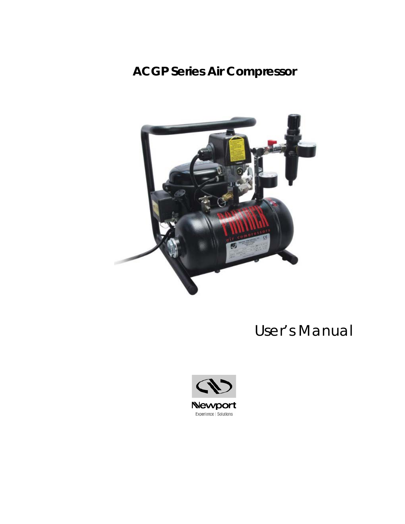# **ACGP Series Air Compressor**



User's Manual

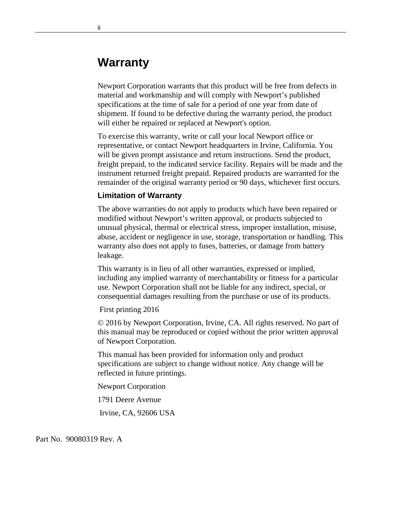# <span id="page-1-0"></span>**Warranty**

Newport Corporation warrants that this product will be free from defects in material and workmanship and will comply with Newport's published specifications at the time of sale for a period of one year from date of shipment. If found to be defective during the warranty period, the product will either be repaired or replaced at Newport's option.

To exercise this warranty, write or call your local Newport office or representative, or contact Newport headquarters in Irvine, California. You will be given prompt assistance and return instructions. Send the product, freight prepaid, to the indicated service facility. Repairs will be made and the instrument returned freight prepaid. Repaired products are warranted for the remainder of the original warranty period or 90 days, whichever first occurs.

#### **Limitation of Warranty**

The above warranties do not apply to products which have been repaired or modified without Newport's written approval, or products subjected to unusual physical, thermal or electrical stress, improper installation, misuse, abuse, accident or negligence in use, storage, transportation or handling. This warranty also does not apply to fuses, batteries, or damage from battery leakage.

This warranty is in lieu of all other warranties, expressed or implied, including any implied warranty of merchantability or fitness for a particular use. Newport Corporation shall not be liable for any indirect, special, or consequential damages resulting from the purchase or use of its products.

First printing 2016

© 2016 by Newport Corporation, Irvine, CA. All rights reserved. No part of this manual may be reproduced or copied without the prior written approval of Newport Corporation.

This manual has been provided for information only and product specifications are subject to change without notice. Any change will be reflected in future printings.

Newport Corporation

1791 Deere Avenue

Irvine, CA, 92606 USA

Part No. 90080319 Rev. A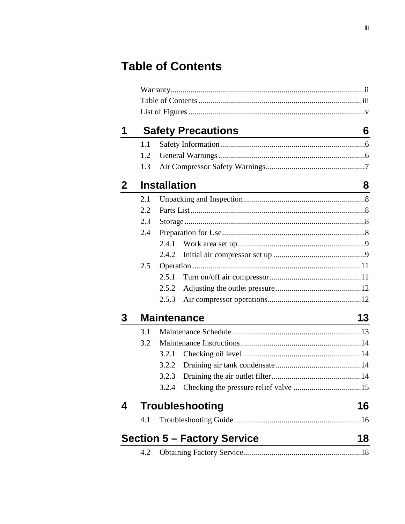# <span id="page-2-0"></span>**Table of Contents**

| 1            | <b>Safety Precautions</b><br><u> 1989 - Johann Barn, amerikan besteman besteman besteman besteman besteman besteman besteman besteman bestema</u> |                                    |    |  |  |
|--------------|---------------------------------------------------------------------------------------------------------------------------------------------------|------------------------------------|----|--|--|
|              | 1.1                                                                                                                                               |                                    |    |  |  |
|              | 1.2                                                                                                                                               |                                    |    |  |  |
|              | 1.3                                                                                                                                               |                                    |    |  |  |
| $\mathbf{2}$ |                                                                                                                                                   | <b>Installation</b>                | 8  |  |  |
|              | 2.1                                                                                                                                               |                                    |    |  |  |
|              | 2.2                                                                                                                                               |                                    |    |  |  |
|              | 2.3                                                                                                                                               |                                    |    |  |  |
|              | 2.4                                                                                                                                               |                                    |    |  |  |
|              |                                                                                                                                                   | 2.4.1                              |    |  |  |
|              |                                                                                                                                                   | 2.4.2                              |    |  |  |
|              | 2.5                                                                                                                                               |                                    |    |  |  |
|              |                                                                                                                                                   | 2.5.1                              |    |  |  |
|              |                                                                                                                                                   | 2.5.2                              |    |  |  |
|              |                                                                                                                                                   | 2.5.3                              |    |  |  |
| 3            | <b>Maintenance</b>                                                                                                                                | 13                                 |    |  |  |
|              | 3.1                                                                                                                                               |                                    |    |  |  |
|              | 3.2                                                                                                                                               |                                    |    |  |  |
|              |                                                                                                                                                   | 3.2.1                              |    |  |  |
|              |                                                                                                                                                   | 3.2.2                              |    |  |  |
|              |                                                                                                                                                   | 3.2.3                              |    |  |  |
|              |                                                                                                                                                   | 3.2.4                              |    |  |  |
| 4            |                                                                                                                                                   | <b>Troubleshooting</b>             | 16 |  |  |
|              | 4.1                                                                                                                                               |                                    |    |  |  |
|              |                                                                                                                                                   | <b>Section 5 - Factory Service</b> | 18 |  |  |
|              | 4.2                                                                                                                                               |                                    |    |  |  |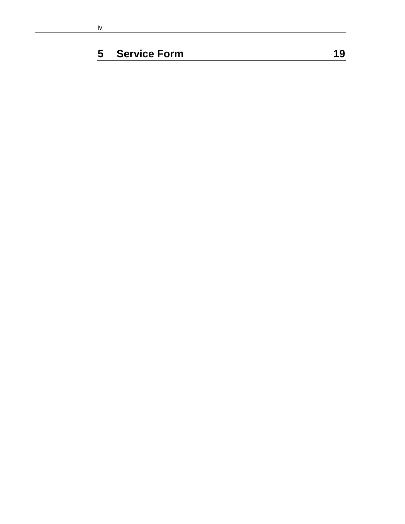# **5 [Service Form](#page-18-0) 19**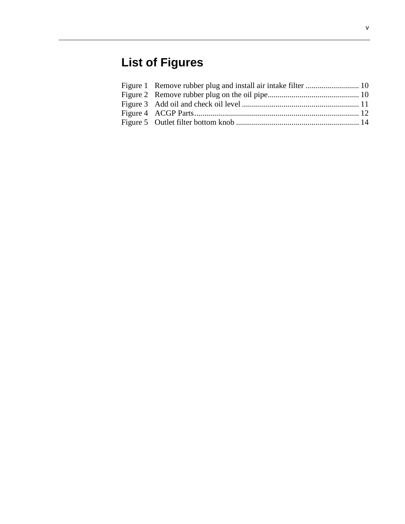# <span id="page-4-0"></span>**List of Figures**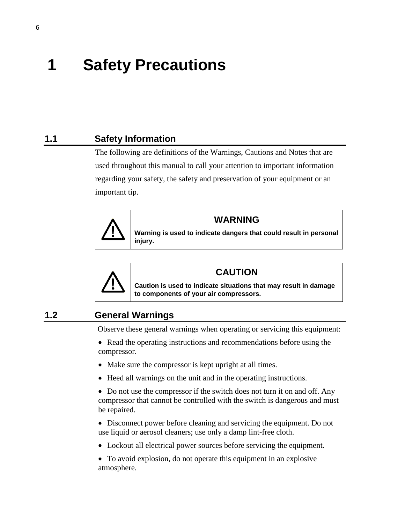# <span id="page-5-0"></span>**1 Safety Precautions**

# <span id="page-5-1"></span>**1.1 Safety Information**

The following are definitions of the Warnings, Cautions and Notes that are used throughout this manual to call your attention to important information regarding your safety, the safety and preservation of your equipment or an important tip.



### **WARNING**

**Warning is used to indicate dangers that could result in personal injury.**



## **CAUTION**

**Caution is used to indicate situations that may result in damage to components of your air compressors.**

### <span id="page-5-2"></span>**1.2 General Warnings**

Observe these general warnings when operating or servicing this equipment:

- Read the operating instructions and recommendations before using the compressor.
- Make sure the compressor is kept upright at all times.
- Heed all warnings on the unit and in the operating instructions.
- Do not use the compressor if the switch does not turn it on and off. Any compressor that cannot be controlled with the switch is dangerous and must be repaired.
- Disconnect power before cleaning and servicing the equipment. Do not use liquid or aerosol cleaners; use only a damp lint-free cloth.
- Lockout all electrical power sources before servicing the equipment.
- To avoid explosion, do not operate this equipment in an explosive atmosphere.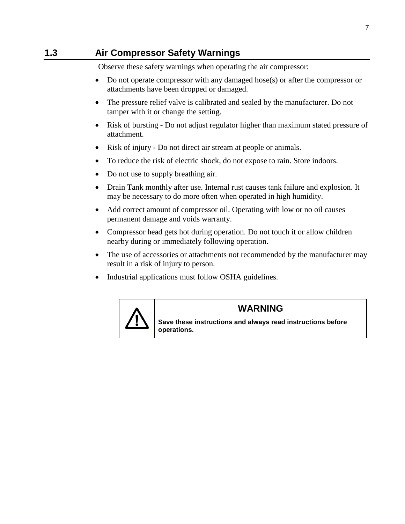# <span id="page-6-0"></span>**1.3 Air Compressor Safety Warnings**

Observe these safety warnings when operating the air compressor:

- Do not operate compressor with any damaged hose(s) or after the compressor or attachments have been dropped or damaged.
- The pressure relief valve is calibrated and sealed by the manufacturer. Do not tamper with it or change the setting.
- Risk of bursting Do not adjust regulator higher than maximum stated pressure of attachment.
- Risk of injury Do not direct air stream at people or animals.
- To reduce the risk of electric shock, do not expose to rain. Store indoors.
- Do not use to supply breathing air.
- Drain Tank monthly after use. Internal rust causes tank failure and explosion. It may be necessary to do more often when operated in high humidity.
- Add correct amount of compressor oil. Operating with low or no oil causes permanent damage and voids warranty.
- Compressor head gets hot during operation. Do not touch it or allow children nearby during or immediately following operation.
- The use of accessories or attachments not recommended by the manufacturer may result in a risk of injury to person.
- Industrial applications must follow OSHA guidelines.



# **WARNING**

**Save these instructions and always read instructions before operations.**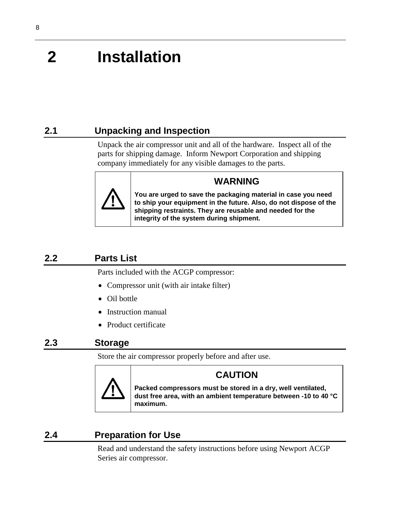# <span id="page-7-0"></span>**2 Installation**

# <span id="page-7-1"></span>**2.1 Unpacking and Inspection**

Unpack the air compressor unit and all of the hardware. Inspect all of the parts for shipping damage. Inform Newport Corporation and shipping company immediately for any visible damages to the parts.



## **WARNING**

**You are urged to save the packaging material in case you need to ship your equipment in the future. Also, do not dispose of the shipping restraints. They are reusable and needed for the integrity of the system during shipment.**

## <span id="page-7-2"></span>**2.2 Parts List**

Parts included with the ACGP compressor:

- Compressor unit (with air intake filter)
- Oil bottle
- Instruction manual
- Product certificate

### <span id="page-7-3"></span>**2.3 Storage**

Store the air compressor properly before and after use.



**Packed compressors must be stored in a dry, well ventilated, dust free area, with an ambient temperature between -10 to 40 °C maximum.** 

# <span id="page-7-4"></span>**2.4 Preparation for Use**

Read and understand the safety instructions before using Newport ACGP Series air compressor.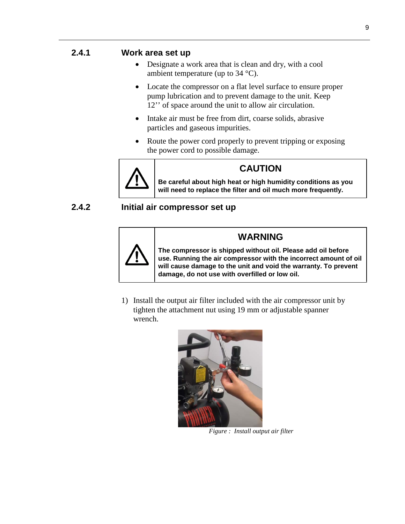### <span id="page-8-0"></span>**2.4.1 Work area set up**

- Designate a work area that is clean and dry, with a cool ambient temperature (up to  $34^{\circ}$ C).
- Locate the compressor on a flat level surface to ensure proper pump lubrication and to prevent damage to the unit. Keep 12'' of space around the unit to allow air circulation.
- Intake air must be free from dirt, coarse solids, abrasive particles and gaseous impurities.
- Route the power cord properly to prevent tripping or exposing the power cord to possible damage.



## **CAUTION**

**Be careful about high heat or high humidity conditions as you will need to replace the filter and oil much more frequently.** 

### <span id="page-8-1"></span>**2.4.2 Initial air compressor set up**



# **WARNING**

**The compressor is shipped without oil. Please add oil before use. Running the air compressor with the incorrect amount of oil will cause damage to the unit and void the warranty. To prevent damage, do not use with overfilled or low oil.**

1) Install the output air filter included with the air compressor unit by tighten the attachment nut using 19 mm or adjustable spanner wrench.



*Figure : Install output air filter*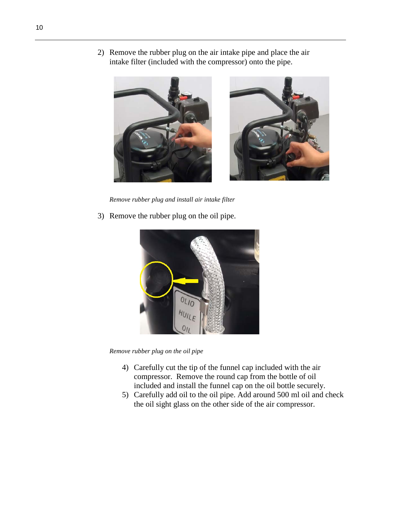2) Remove the rubber plug on the air intake pipe and place the air intake filter (included with the compressor) onto the pipe.



*Remove rubber plug and install air intake filter*

<span id="page-9-0"></span>3) Remove the rubber plug on the oil pipe.



<span id="page-9-1"></span>*Remove rubber plug on the oil pipe*

- 4) Carefully cut the tip of the funnel cap included with the air compressor. Remove the round cap from the bottle of oil included and install the funnel cap on the oil bottle securely.
- 5) Carefully add oil to the oil pipe. Add around 500 ml oil and check the oil sight glass on the other side of the air compressor.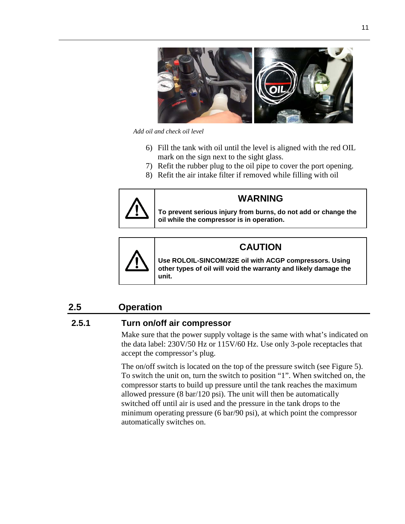

*Add oil and check oil level*

- 6) Fill the tank with oil until the level is aligned with the red OIL mark on the sign next to the sight glass.
- 7) Refit the rubber plug to the oil pipe to cover the port opening.
- 8) Refit the air intake filter if removed while filling with oil

<span id="page-10-2"></span>

# **WARNING**

**To prevent serious injury from burns, do not add or change the oil while the compressor is in operation.** 



# **CAUTION**

**Use ROLOIL-SINCOM/32E oil with ACGP compressors. Using other types of oil will void the warranty and likely damage the unit.**

# <span id="page-10-0"></span>**2.5 Operation**

# <span id="page-10-1"></span>**2.5.1 Turn on/off air compressor**

Make sure that the power supply voltage is the same with what's indicated on the data label: 230V/50 Hz or 115V/60 Hz. Use only 3-pole receptacles that accept the compressor's plug.

The on/off switch is located on the top of the pressure switch (see [Figure 5\)](#page-11-2). To switch the unit on, turn the switch to position "1". When switched on, the compressor starts to build up pressure until the tank reaches the maximum allowed pressure (8 bar/120 psi). The unit will then be automatically switched off until air is used and the pressure in the tank drops to the minimum operating pressure (6 bar/90 psi), at which point the compressor automatically switches on.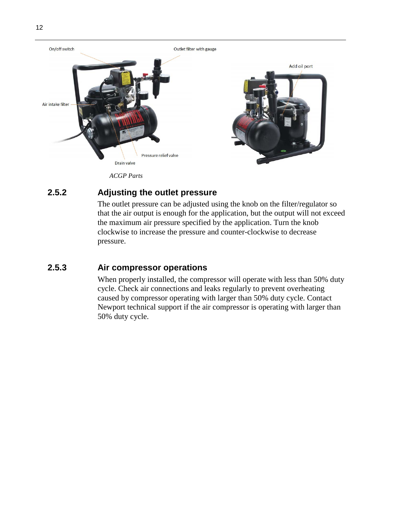

*ACGP Parts*

## <span id="page-11-2"></span><span id="page-11-0"></span>**2.5.2 Adjusting the outlet pressure**

The outlet pressure can be adjusted using the knob on the filter/regulator so that the air output is enough for the application, but the output will not exceed the maximum air pressure specified by the application. Turn the knob clockwise to increase the pressure and counter-clockwise to decrease pressure.

### <span id="page-11-1"></span>**2.5.3 Air compressor operations**

When properly installed, the compressor will operate with less than 50% duty cycle. Check air connections and leaks regularly to prevent overheating caused by compressor operating with larger than 50% duty cycle. Contact Newport technical support if the air compressor is operating with larger than 50% duty cycle.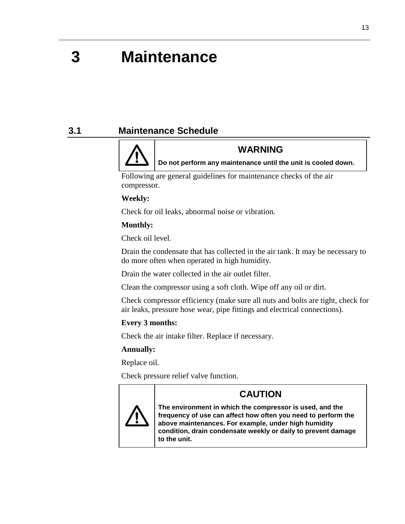# <span id="page-12-0"></span>**3 Maintenance**

## <span id="page-12-1"></span>**3.1 Maintenance Schedule**



### **WARNING**

**Do not perform any maintenance until the unit is cooled down.**

Following are general guidelines for maintenance checks of the air compressor.

#### **Weekly:**

Check for oil leaks, abnormal noise or vibration.

#### **Monthly:**

Check oil level.

Drain the condensate that has collected in the air tank. It may be necessary to do more often when operated in high humidity.

Drain the water collected in the air outlet filter.

Clean the compressor using a soft cloth. Wipe off any oil or dirt.

Check compressor efficiency (make sure all nuts and bolts are tight, check for air leaks, pressure hose wear, pipe fittings and electrical connections).

#### **Every 3 months:**

Check the air intake filter. Replace if necessary.

#### **Annually:**

Replace oil.

Check pressure relief valve function.



## **CAUTION**

**The environment in which the compressor is used, and the frequency of use can affect how often you need to perform the above maintenances. For example, under high humidity condition, drain condensate weekly or daily to prevent damage to the unit.**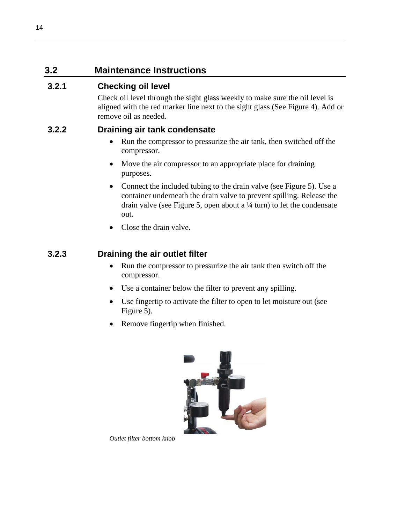# <span id="page-13-0"></span>**3.2 Maintenance Instructions**

# <span id="page-13-1"></span>**3.2.1 Checking oil level**

Check oil level through the sight glass weekly to make sure the oil level is aligned with the red marker line next to the sight glass (See [Figure 4\)](#page-10-2). Add or remove oil as needed.

# <span id="page-13-2"></span>**3.2.2 Draining air tank condensate**

- Run the compressor to pressurize the air tank, then switched off the compressor.
- Move the air compressor to an appropriate place for draining purposes.
- Connect the included tubing to the drain valve (see [Figure 5\)](#page-11-2). Use a container underneath the drain valve to prevent spilling. Release the drain valve (see [Figure 5,](#page-11-2) open about a  $\frac{1}{4}$  turn) to let the condensate out.
- Close the drain valve.

# <span id="page-13-3"></span>**3.2.3 Draining the air outlet filter**

- Run the compressor to pressurize the air tank then switch off the compressor.
- Use a container below the filter to prevent any spilling.
- Use fingertip to activate the filter to open to let moisture out (see [Figure 5\)](#page-11-2).
- Remove fingertip when finished.



<span id="page-13-4"></span>*Outlet filter bottom knob*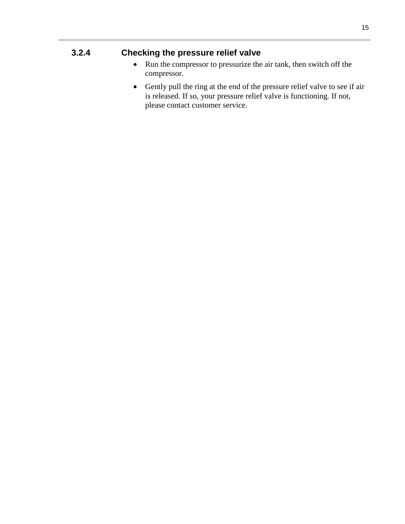# <span id="page-14-0"></span>**3.2.4 Checking the pressure relief valve**

- Run the compressor to pressurize the air tank, then switch off the compressor.
- Gently pull the ring at the end of the pressure relief valve to see if air is released. If so, your pressure relief valve is functioning. If not, please contact customer service.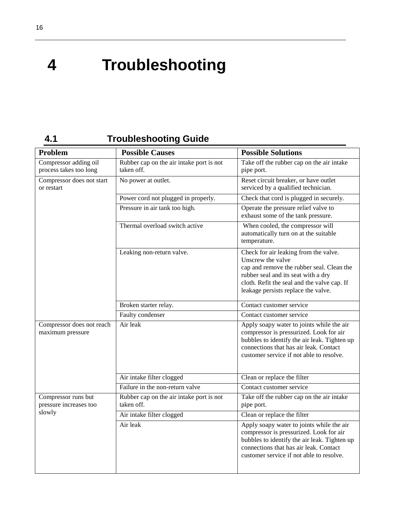<span id="page-15-0"></span>**4 Troubleshooting**

# <span id="page-15-1"></span>**4.1 Troubleshooting Guide**

| Problem                                         | <b>Possible Causes</b>                                 | <b>Possible Solutions</b>                                                                                                                                                                                                            |  |
|-------------------------------------------------|--------------------------------------------------------|--------------------------------------------------------------------------------------------------------------------------------------------------------------------------------------------------------------------------------------|--|
| Compressor adding oil<br>process takes too long | Rubber cap on the air intake port is not<br>taken off. | Take off the rubber cap on the air intake<br>pipe port.                                                                                                                                                                              |  |
| Compressor does not start<br>or restart         | No power at outlet.                                    | Reset circuit breaker, or have outlet<br>serviced by a qualified technician.                                                                                                                                                         |  |
|                                                 | Power cord not plugged in properly.                    | Check that cord is plugged in securely.                                                                                                                                                                                              |  |
|                                                 | Pressure in air tank too high.                         | Operate the pressure relief valve to<br>exhaust some of the tank pressure.                                                                                                                                                           |  |
|                                                 | Thermal overload switch active                         | When cooled, the compressor will<br>automatically turn on at the suitable<br>temperature.                                                                                                                                            |  |
|                                                 | Leaking non-return valve.                              | Check for air leaking from the valve.<br>Unscrew the valve<br>cap and remove the rubber seal. Clean the<br>rubber seal and its seat with a dry<br>cloth. Refit the seal and the valve cap. If<br>leakage persists replace the valve. |  |
|                                                 | Broken starter relay.                                  | Contact customer service                                                                                                                                                                                                             |  |
|                                                 | Faulty condenser                                       | Contact customer service                                                                                                                                                                                                             |  |
| Compressor does not reach<br>maximum pressure   | Air leak                                               | Apply soapy water to joints while the air<br>compressor is pressurized. Look for air<br>bubbles to identify the air leak. Tighten up<br>connections that has air leak. Contact<br>customer service if not able to resolve.           |  |
|                                                 | Air intake filter clogged                              | Clean or replace the filter                                                                                                                                                                                                          |  |
|                                                 | Failure in the non-return valve                        | Contact customer service                                                                                                                                                                                                             |  |
| Compressor runs but<br>pressure increases too   | Rubber cap on the air intake port is not<br>taken off. | Take off the rubber cap on the air intake<br>pipe port.                                                                                                                                                                              |  |
| slowly                                          | Air intake filter clogged                              | Clean or replace the filter                                                                                                                                                                                                          |  |
|                                                 | Air leak                                               | Apply soapy water to joints while the air<br>compressor is pressurized. Look for air<br>bubbles to identify the air leak. Tighten up<br>connections that has air leak. Contact<br>customer service if not able to resolve.           |  |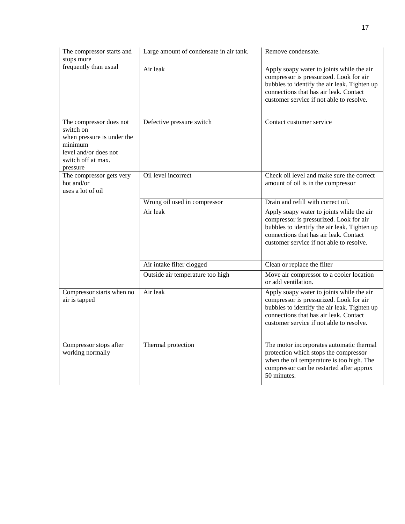| The compressor starts and<br>stops more                                                                                                  | Large amount of condensate in air tank. | Remove condensate.                                                                                                                                                                                                         |
|------------------------------------------------------------------------------------------------------------------------------------------|-----------------------------------------|----------------------------------------------------------------------------------------------------------------------------------------------------------------------------------------------------------------------------|
| frequently than usual                                                                                                                    | Air leak                                | Apply soapy water to joints while the air<br>compressor is pressurized. Look for air<br>bubbles to identify the air leak. Tighten up<br>connections that has air leak. Contact<br>customer service if not able to resolve. |
| The compressor does not<br>switch on<br>when pressure is under the<br>minimum<br>level and/or does not<br>switch off at max.<br>pressure | Defective pressure switch               | Contact customer service                                                                                                                                                                                                   |
| The compressor gets very<br>hot and/or<br>uses a lot of oil                                                                              | Oil level incorrect                     | Check oil level and make sure the correct<br>amount of oil is in the compressor                                                                                                                                            |
|                                                                                                                                          | Wrong oil used in compressor            | Drain and refill with correct oil.                                                                                                                                                                                         |
|                                                                                                                                          | Air leak                                | Apply soapy water to joints while the air<br>compressor is pressurized. Look for air<br>bubbles to identify the air leak. Tighten up<br>connections that has air leak. Contact<br>customer service if not able to resolve. |
|                                                                                                                                          | Air intake filter clogged               | Clean or replace the filter                                                                                                                                                                                                |
|                                                                                                                                          | Outside air temperature too high        | Move air compressor to a cooler location<br>or add ventilation.                                                                                                                                                            |
| Compressor starts when no<br>air is tapped                                                                                               | Air leak                                | Apply soapy water to joints while the air<br>compressor is pressurized. Look for air<br>bubbles to identify the air leak. Tighten up<br>connections that has air leak. Contact<br>customer service if not able to resolve. |
| Compressor stops after<br>working normally                                                                                               | Thermal protection                      | The motor incorporates automatic thermal<br>protection which stops the compressor<br>when the oil temperature is too high. The<br>compressor can be restarted after approx<br>50 minutes.                                  |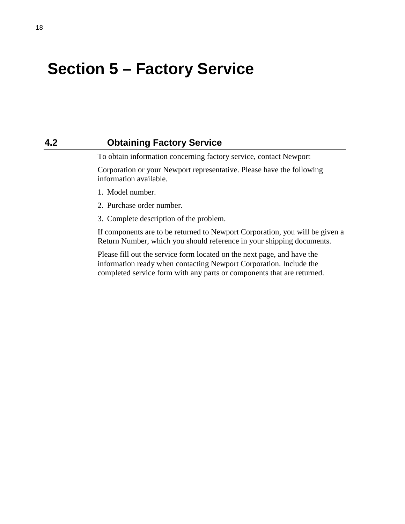# <span id="page-17-0"></span>**Section 5 – Factory Service**

## **4.2 Obtaining Factory Service**

<span id="page-17-1"></span>To obtain information concerning factory service, contact Newport

Corporation or your Newport representative. Please have the following information available.

- 1. Model number.
- 2. Purchase order number.
- 3. Complete description of the problem.

If components are to be returned to Newport Corporation, you will be given a Return Number, which you should reference in your shipping documents.

Please fill out the service form located on the next page, and have the information ready when contacting Newport Corporation. Include the completed service form with any parts or components that are returned.